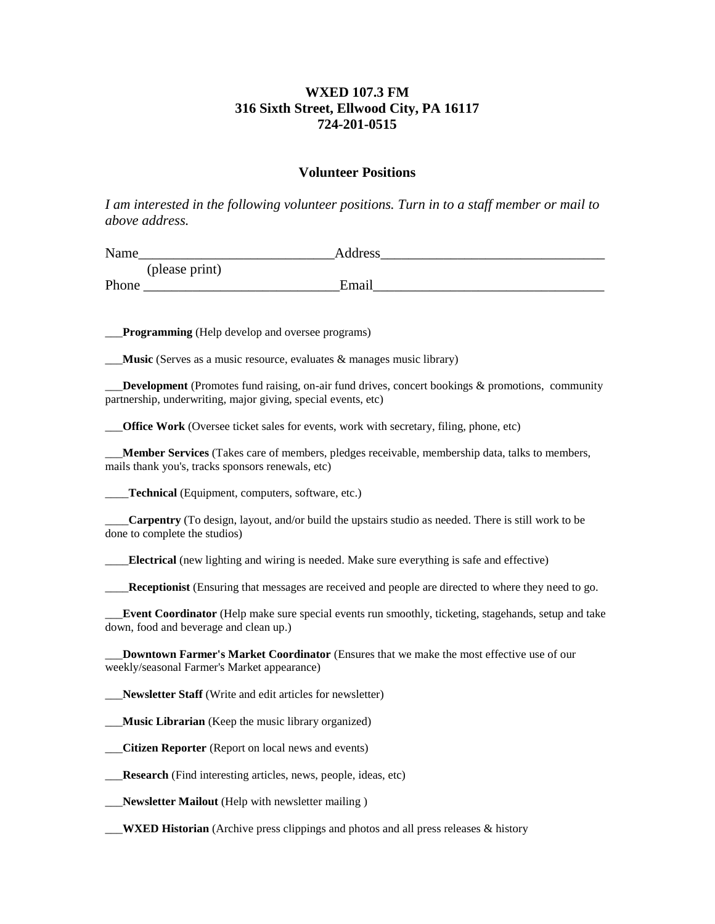## **WXED 107.3 FM 316 Sixth Street, Ellwood City, PA 16117 724-201-0515**

## **Volunteer Positions**

*I am interested in the following volunteer positions. Turn in to a staff member or mail to above address.*

| Name  |                | Address |  |
|-------|----------------|---------|--|
|       | (please print) |         |  |
| Phone |                | Email   |  |

\_\_\_**Programming** (Help develop and oversee programs)

\_\_\_**Music** (Serves as a music resource, evaluates & manages music library)

\_\_\_**Development** (Promotes fund raising, on-air fund drives, concert bookings & promotions, community partnership, underwriting, major giving, special events, etc)

**Office Work** (Oversee ticket sales for events, work with secretary, filing, phone, etc)

\_\_\_**Member Services** (Takes care of members, pledges receivable, membership data, talks to members, mails thank you's, tracks sponsors renewals, etc)

\_\_\_\_**Technical** (Equipment, computers, software, etc.)

\_\_\_\_**Carpentry** (To design, layout, and/or build the upstairs studio as needed. There is still work to be done to complete the studios)

\_\_\_\_**Electrical** (new lighting and wiring is needed. Make sure everything is safe and effective)

**Receptionist** (Ensuring that messages are received and people are directed to where they need to go.

\_\_\_**Event Coordinator** (Help make sure special events run smoothly, ticketing, stagehands, setup and take down, food and beverage and clean up.)

\_\_\_**Downtown Farmer's Market Coordinator** (Ensures that we make the most effective use of our weekly/seasonal Farmer's Market appearance)

\_\_\_**Newsletter Staff** (Write and edit articles for newsletter)

- \_\_\_**Music Librarian** (Keep the music library organized)
- \_\_\_**Citizen Reporter** (Report on local news and events)
- \_\_\_**Research** (Find interesting articles, news, people, ideas, etc)

\_\_\_**Newsletter Mailout** (Help with newsletter mailing )

\_\_\_**WXED Historian** (Archive press clippings and photos and all press releases & history